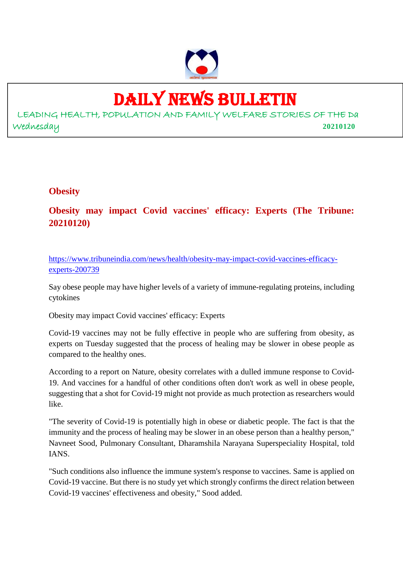

## DAILY NEWS BULLETIN

LEADING HEALTH, POPULATION AND FAMILY WELFARE STORIES OF THE Da Wednesday **20210120**

#### **Obesity**

**Obesity may impact Covid vaccines' efficacy: Experts (The Tribune: 20210120)**

https://www.tribuneindia.com/news/health/obesity-may-impact-covid-vaccines-efficacyexperts-200739

Say obese people may have higher levels of a variety of immune-regulating proteins, including cytokines

Obesity may impact Covid vaccines' efficacy: Experts

Covid-19 vaccines may not be fully effective in people who are suffering from obesity, as experts on Tuesday suggested that the process of healing may be slower in obese people as compared to the healthy ones.

According to a report on Nature, obesity correlates with a dulled immune response to Covid-19. And vaccines for a handful of other conditions often don't work as well in obese people, suggesting that a shot for Covid-19 might not provide as much protection as researchers would like.

"The severity of Covid-19 is potentially high in obese or diabetic people. The fact is that the immunity and the process of healing may be slower in an obese person than a healthy person," Navneet Sood, Pulmonary Consultant, Dharamshila Narayana Superspeciality Hospital, told IANS.

"Such conditions also influence the immune system's response to vaccines. Same is applied on Covid-19 vaccine. But there is no study yet which strongly confirms the direct relation between Covid-19 vaccines' effectiveness and obesity," Sood added.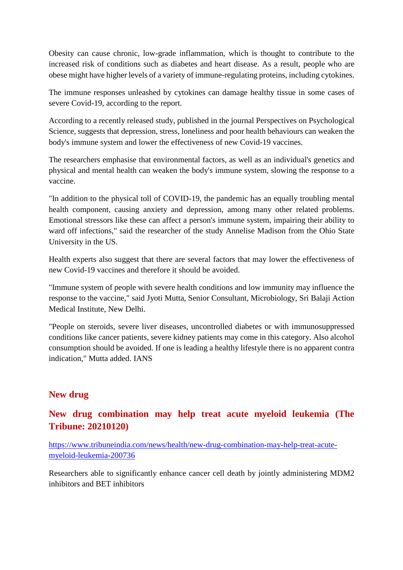Obesity can cause chronic, low-grade inflammation, which is thought to contribute to the increased risk of conditions such as diabetes and heart disease. As a result, people who are obese might have higher levels of a variety of immune-regulating proteins, including cytokines.

The immune responses unleashed by cytokines can damage healthy tissue in some cases of severe Covid-19, according to the report.

According to a recently released study, published in the journal Perspectives on Psychological Science, suggests that depression, stress, loneliness and poor health behaviours can weaken the body's immune system and lower the effectiveness of new Covid-19 vaccines.

The researchers emphasise that environmental factors, as well as an individual's genetics and physical and mental health can weaken the body's immune system, slowing the response to a vaccine.

"In addition to the physical toll of COVID-19, the pandemic has an equally troubling mental health component, causing anxiety and depression, among many other related problems. Emotional stressors like these can affect a person's immune system, impairing their ability to ward off infections," said the researcher of the study Annelise Madison from the Ohio State University in the US.

Health experts also suggest that there are several factors that may lower the effectiveness of new Covid-19 vaccines and therefore it should be avoided.

"Immune system of people with severe health conditions and low immunity may influence the response to the vaccine," said Jyoti Mutta, Senior Consultant, Microbiology, Sri Balaji Action Medical Institute, New Delhi.

"People on steroids, severe liver diseases, uncontrolled diabetes or with immunosuppressed conditions like cancer patients, severe kidney patients may come in this category. Also alcohol consumption should be avoided. If one is leading a healthy lifestyle there is no apparent contra indication," Mutta added. IANS

#### **New drug**

#### **New drug combination may help treat acute myeloid leukemia (The Tribune: 20210120)**

https://www.tribuneindia.com/news/health/new-drug-combination-may-help-treat-acutemyeloid-leukemia-200736

Researchers able to significantly enhance cancer cell death by jointly administering MDM2 inhibitors and BET inhibitors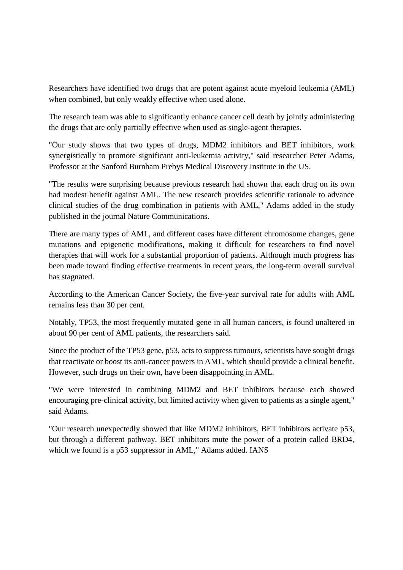Researchers have identified two drugs that are potent against acute myeloid leukemia (AML) when combined, but only weakly effective when used alone.

The research team was able to significantly enhance cancer cell death by jointly administering the drugs that are only partially effective when used as single-agent therapies.

"Our study shows that two types of drugs, MDM2 inhibitors and BET inhibitors, work synergistically to promote significant anti-leukemia activity," said researcher Peter Adams, Professor at the Sanford Burnham Prebys Medical Discovery Institute in the US.

"The results were surprising because previous research had shown that each drug on its own had modest benefit against AML. The new research provides scientific rationale to advance clinical studies of the drug combination in patients with AML," Adams added in the study published in the journal Nature Communications.

There are many types of AML, and different cases have different chromosome changes, gene mutations and epigenetic modifications, making it difficult for researchers to find novel therapies that will work for a substantial proportion of patients. Although much progress has been made toward finding effective treatments in recent years, the long-term overall survival has stagnated.

According to the American Cancer Society, the five-year survival rate for adults with AML remains less than 30 per cent.

Notably, TP53, the most frequently mutated gene in all human cancers, is found unaltered in about 90 per cent of AML patients, the researchers said.

Since the product of the TP53 gene, p53, acts to suppress tumours, scientists have sought drugs that reactivate or boost its anti-cancer powers in AML, which should provide a clinical benefit. However, such drugs on their own, have been disappointing in AML.

"We were interested in combining MDM2 and BET inhibitors because each showed encouraging pre-clinical activity, but limited activity when given to patients as a single agent," said Adams.

"Our research unexpectedly showed that like MDM2 inhibitors, BET inhibitors activate p53, but through a different pathway. BET inhibitors mute the power of a protein called BRD4, which we found is a p53 suppressor in AML," Adams added. IANS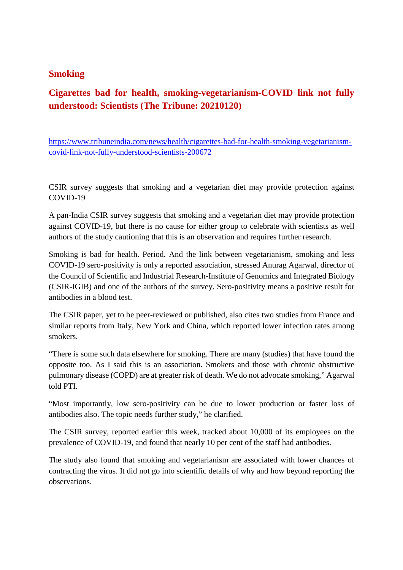#### **Smoking**

#### **Cigarettes bad for health, smoking-vegetarianism-COVID link not fully understood: Scientists (The Tribune: 20210120)**

https://www.tribuneindia.com/news/health/cigarettes-bad-for-health-smoking-vegetarianismcovid-link-not-fully-understood-scientists-200672

CSIR survey suggests that smoking and a vegetarian diet may provide protection against COVID-19

A pan-India CSIR survey suggests that smoking and a vegetarian diet may provide protection against COVID-19, but there is no cause for either group to celebrate with scientists as well authors of the study cautioning that this is an observation and requires further research.

Smoking is bad for health. Period. And the link between vegetarianism, smoking and less COVID-19 sero-positivity is only a reported association, stressed Anurag Agarwal, director of the Council of Scientific and Industrial Research-Institute of Genomics and Integrated Biology (CSIR-IGIB) and one of the authors of the survey. Sero-positivity means a positive result for antibodies in a blood test.

The CSIR paper, yet to be peer-reviewed or published, also cites two studies from France and similar reports from Italy, New York and China, which reported lower infection rates among smokers.

"There is some such data elsewhere for smoking. There are many (studies) that have found the opposite too. As I said this is an association. Smokers and those with chronic obstructive pulmonary disease (COPD) are at greater risk of death. We do not advocate smoking," Agarwal told PTI.

"Most importantly, low sero-positivity can be due to lower production or faster loss of antibodies also. The topic needs further study," he clarified.

The CSIR survey, reported earlier this week, tracked about 10,000 of its employees on the prevalence of COVID-19, and found that nearly 10 per cent of the staff had antibodies.

The study also found that smoking and vegetarianism are associated with lower chances of contracting the virus. It did not go into scientific details of why and how beyond reporting the observations.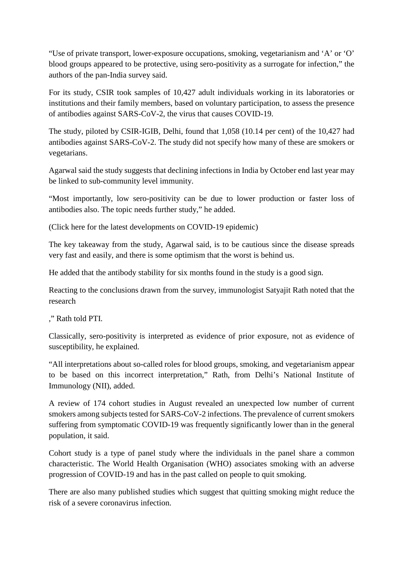"Use of private transport, lower-exposure occupations, smoking, vegetarianism and 'A' or 'O' blood groups appeared to be protective, using sero-positivity as a surrogate for infection," the authors of the pan-India survey said.

For its study, CSIR took samples of 10,427 adult individuals working in its laboratories or institutions and their family members, based on voluntary participation, to assess the presence of antibodies against SARS-CoV-2, the virus that causes COVID-19.

The study, piloted by CSIR-IGIB, Delhi, found that 1,058 (10.14 per cent) of the 10,427 had antibodies against SARS-CoV-2. The study did not specify how many of these are smokers or vegetarians.

Agarwal said the study suggests that declining infections in India by October end last year may be linked to sub-community level immunity.

"Most importantly, low sero-positivity can be due to lower production or faster loss of antibodies also. The topic needs further study," he added.

(Click here for the latest developments on COVID-19 epidemic)

The key takeaway from the study, Agarwal said, is to be cautious since the disease spreads very fast and easily, and there is some optimism that the worst is behind us.

He added that the antibody stability for six months found in the study is a good sign.

Reacting to the conclusions drawn from the survey, immunologist Satyajit Rath noted that the research

," Rath told PTI.

Classically, sero-positivity is interpreted as evidence of prior exposure, not as evidence of susceptibility, he explained.

"All interpretations about so-called roles for blood groups, smoking, and vegetarianism appear to be based on this incorrect interpretation," Rath, from Delhi's National Institute of Immunology (NII), added.

A review of 174 cohort studies in August revealed an unexpected low number of current smokers among subjects tested for SARS-CoV-2 infections. The prevalence of current smokers suffering from symptomatic COVID-19 was frequently significantly lower than in the general population, it said.

Cohort study is a type of panel study where the individuals in the panel share a common characteristic. The World Health Organisation (WHO) associates smoking with an adverse progression of COVID-19 and has in the past called on people to quit smoking.

There are also many published studies which suggest that quitting smoking might reduce the risk of a severe coronavirus infection.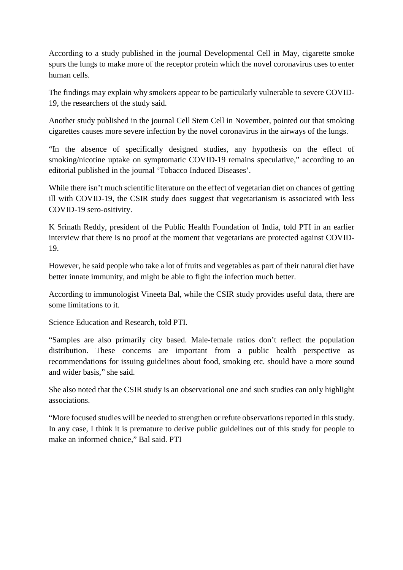According to a study published in the journal Developmental Cell in May, cigarette smoke spurs the lungs to make more of the receptor protein which the novel coronavirus uses to enter human cells.

The findings may explain why smokers appear to be particularly vulnerable to severe COVID-19, the researchers of the study said.

Another study published in the journal Cell Stem Cell in November, pointed out that smoking cigarettes causes more severe infection by the novel coronavirus in the airways of the lungs.

"In the absence of specifically designed studies, any hypothesis on the effect of smoking/nicotine uptake on symptomatic COVID-19 remains speculative," according to an editorial published in the journal 'Tobacco Induced Diseases'.

While there isn't much scientific literature on the effect of vegetarian diet on chances of getting ill with COVID-19, the CSIR study does suggest that vegetarianism is associated with less COVID-19 sero-ositivity.

K Srinath Reddy, president of the Public Health Foundation of India, told PTI in an earlier interview that there is no proof at the moment that vegetarians are protected against COVID-19.

However, he said people who take a lot of fruits and vegetables as part of their natural diet have better innate immunity, and might be able to fight the infection much better.

According to immunologist Vineeta Bal, while the CSIR study provides useful data, there are some limitations to it.

Science Education and Research, told PTI.

"Samples are also primarily city based. Male-female ratios don't reflect the population distribution. These concerns are important from a public health perspective as recommendations for issuing guidelines about food, smoking etc. should have a more sound and wider basis," she said.

She also noted that the CSIR study is an observational one and such studies can only highlight associations.

"More focused studies will be needed to strengthen or refute observations reported in this study. In any case, I think it is premature to derive public guidelines out of this study for people to make an informed choice," Bal said. PTI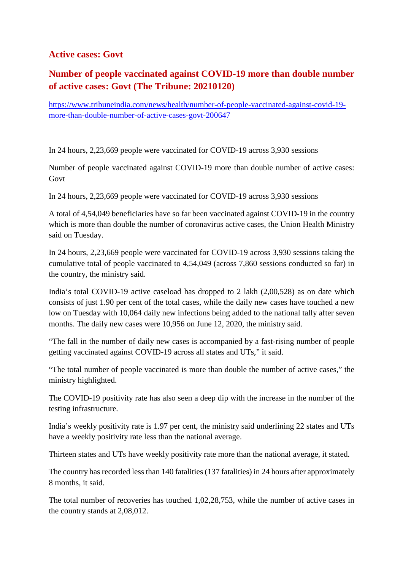#### **Active cases: Govt**

#### **Number of people vaccinated against COVID-19 more than double number of active cases: Govt (The Tribune: 20210120)**

https://www.tribuneindia.com/news/health/number-of-people-vaccinated-against-covid-19 more-than-double-number-of-active-cases-govt-200647

In 24 hours, 2,23,669 people were vaccinated for COVID-19 across 3,930 sessions

Number of people vaccinated against COVID-19 more than double number of active cases: Govt

In 24 hours, 2,23,669 people were vaccinated for COVID-19 across 3,930 sessions

A total of 4,54,049 beneficiaries have so far been vaccinated against COVID-19 in the country which is more than double the number of coronavirus active cases, the Union Health Ministry said on Tuesday.

In 24 hours, 2,23,669 people were vaccinated for COVID-19 across 3,930 sessions taking the cumulative total of people vaccinated to 4,54,049 (across 7,860 sessions conducted so far) in the country, the ministry said.

India's total COVID-19 active caseload has dropped to 2 lakh (2,00,528) as on date which consists of just 1.90 per cent of the total cases, while the daily new cases have touched a new low on Tuesday with 10,064 daily new infections being added to the national tally after seven months. The daily new cases were 10,956 on June 12, 2020, the ministry said.

"The fall in the number of daily new cases is accompanied by a fast-rising number of people getting vaccinated against COVID-19 across all states and UTs," it said.

"The total number of people vaccinated is more than double the number of active cases," the ministry highlighted.

The COVID-19 positivity rate has also seen a deep dip with the increase in the number of the testing infrastructure.

India's weekly positivity rate is 1.97 per cent, the ministry said underlining 22 states and UTs have a weekly positivity rate less than the national average.

Thirteen states and UTs have weekly positivity rate more than the national average, it stated.

The country has recorded less than 140 fatalities (137 fatalities) in 24 hours after approximately 8 months, it said.

The total number of recoveries has touched 1,02,28,753, while the number of active cases in the country stands at 2,08,012.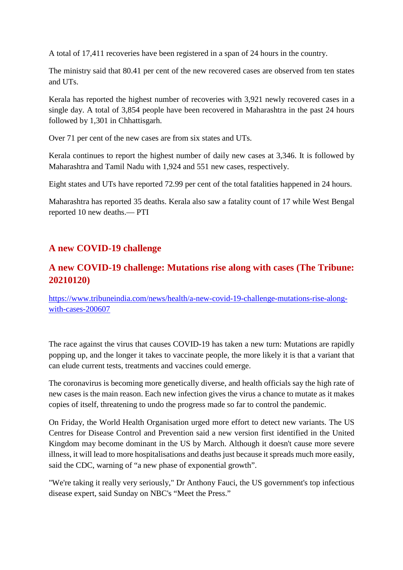A total of 17,411 recoveries have been registered in a span of 24 hours in the country.

The ministry said that 80.41 per cent of the new recovered cases are observed from ten states and UTs.

Kerala has reported the highest number of recoveries with 3,921 newly recovered cases in a single day. A total of 3,854 people have been recovered in Maharashtra in the past 24 hours followed by 1,301 in Chhattisgarh.

Over 71 per cent of the new cases are from six states and UTs.

Kerala continues to report the highest number of daily new cases at 3,346. It is followed by Maharashtra and Tamil Nadu with 1,924 and 551 new cases, respectively.

Eight states and UTs have reported 72.99 per cent of the total fatalities happened in 24 hours.

Maharashtra has reported 35 deaths. Kerala also saw a fatality count of 17 while West Bengal reported 10 new deaths.— PTI

#### **A new COVID-19 challenge**

#### **A new COVID-19 challenge: Mutations rise along with cases (The Tribune: 20210120)**

https://www.tribuneindia.com/news/health/a-new-covid-19-challenge-mutations-rise-alongwith-cases-200607

The race against the virus that causes COVID-19 has taken a new turn: Mutations are rapidly popping up, and the longer it takes to vaccinate people, the more likely it is that a variant that can elude current tests, treatments and vaccines could emerge.

The coronavirus is becoming more genetically diverse, and health officials say the high rate of new cases is the main reason. Each new infection gives the virus a chance to mutate as it makes copies of itself, threatening to undo the progress made so far to control the pandemic.

On Friday, the World Health Organisation urged more effort to detect new variants. The US Centres for Disease Control and Prevention said a new version first identified in the United Kingdom may become dominant in the US by March. Although it doesn't cause more severe illness, it will lead to more hospitalisations and deaths just because it spreads much more easily, said the CDC, warning of "a new phase of exponential growth".

"We're taking it really very seriously," Dr Anthony Fauci, the US government's top infectious disease expert, said Sunday on NBC's "Meet the Press."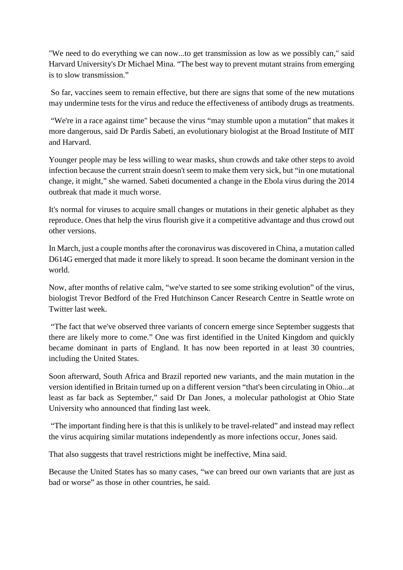"We need to do everything we can now...to get transmission as low as we possibly can," said Harvard University's Dr Michael Mina. "The best way to prevent mutant strains from emerging is to slow transmission."

So far, vaccines seem to remain effective, but there are signs that some of the new mutations may undermine tests for the virus and reduce the effectiveness of antibody drugs as treatments.

"We're in a race against time" because the virus "may stumble upon a mutation" that makes it more dangerous, said Dr Pardis Sabeti, an evolutionary biologist at the Broad Institute of MIT and Harvard.

Younger people may be less willing to wear masks, shun crowds and take other steps to avoid infection because the current strain doesn't seem to make them very sick, but "in one mutational change, it might," she warned. Sabeti documented a change in the Ebola virus during the 2014 outbreak that made it much worse.

It's normal for viruses to acquire small changes or mutations in their genetic alphabet as they reproduce. Ones that help the virus flourish give it a competitive advantage and thus crowd out other versions.

In March, just a couple months after the coronavirus was discovered in China, a mutation called D614G emerged that made it more likely to spread. It soon became the dominant version in the world.

Now, after months of relative calm, "we've started to see some striking evolution" of the virus, biologist Trevor Bedford of the Fred Hutchinson Cancer Research Centre in Seattle wrote on Twitter last week.

"The fact that we've observed three variants of concern emerge since September suggests that there are likely more to come." One was first identified in the United Kingdom and quickly became dominant in parts of England. It has now been reported in at least 30 countries, including the United States.

Soon afterward, South Africa and Brazil reported new variants, and the main mutation in the version identified in Britain turned up on a different version "that's been circulating in Ohio...at least as far back as September," said Dr Dan Jones, a molecular pathologist at Ohio State University who announced that finding last week.

"The important finding here is that this is unlikely to be travel-related" and instead may reflect the virus acquiring similar mutations independently as more infections occur, Jones said.

That also suggests that travel restrictions might be ineffective, Mina said.

Because the United States has so many cases, "we can breed our own variants that are just as bad or worse" as those in other countries, he said.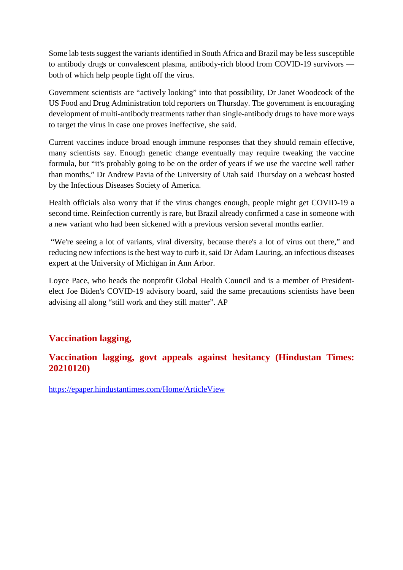Some lab tests suggest the variants identified in South Africa and Brazil may be less susceptible to antibody drugs or convalescent plasma, antibody-rich blood from COVID-19 survivors both of which help people fight off the virus.

Government scientists are "actively looking" into that possibility, Dr Janet Woodcock of the US Food and Drug Administration told reporters on Thursday. The government is encouraging development of multi-antibody treatments rather than single-antibody drugs to have more ways to target the virus in case one proves ineffective, she said.

Current vaccines induce broad enough immune responses that they should remain effective, many scientists say. Enough genetic change eventually may require tweaking the vaccine formula, but "it's probably going to be on the order of years if we use the vaccine well rather than months," Dr Andrew Pavia of the University of Utah said Thursday on a webcast hosted by the Infectious Diseases Society of America.

Health officials also worry that if the virus changes enough, people might get COVID-19 a second time. Reinfection currently is rare, but Brazil already confirmed a case in someone with a new variant who had been sickened with a previous version several months earlier.

"We're seeing a lot of variants, viral diversity, because there's a lot of virus out there," and reducing new infections is the best way to curb it, said Dr Adam Lauring, an infectious diseases expert at the University of Michigan in Ann Arbor.

Loyce Pace, who heads the nonprofit Global Health Council and is a member of Presidentelect Joe Biden's COVID-19 advisory board, said the same precautions scientists have been advising all along "still work and they still matter". AP

#### **Vaccination lagging,**

#### **Vaccination lagging, govt appeals against hesitancy (Hindustan Times: 20210120)**

https://epaper.hindustantimes.com/Home/ArticleView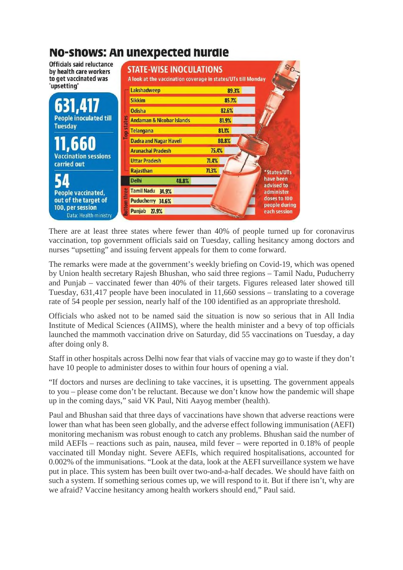

#### There are at least three states where fewer than 40% of people turned up for coronavirus vaccination, top government officials said on Tuesday, calling hesitancy among doctors and nurses "upsetting" and issuing fervent appeals for them to come forward.

The remarks were made at the government's weekly briefing on Covid-19, which was opened by Union health secretary Rajesh Bhushan, who said three regions – Tamil Nadu, Puducherry and Punjab – vaccinated fewer than 40% of their targets. Figures released later showed till Tuesday, 631,417 people have been inoculated in 11,660 sessions – translating to a coverage rate of 54 people per session, nearly half of the 100 identified as an appropriate threshold.

Officials who asked not to be named said the situation is now so serious that in All India Institute of Medical Sciences (AIIMS), where the health minister and a bevy of top officials launched the mammoth vaccination drive on Saturday, did 55 vaccinations on Tuesday, a day after doing only 8.

Staff in other hospitals across Delhi now fear that vials of vaccine may go to waste if they don't have 10 people to administer doses to within four hours of opening a vial.

"If doctors and nurses are declining to take vaccines, it is upsetting. The government appeals to you – please come don't be reluctant. Because we don't know how the pandemic will shape up in the coming days," said VK Paul, Niti Aayog member (health).

Paul and Bhushan said that three days of vaccinations have shown that adverse reactions were lower than what has been seen globally, and the adverse effect following immunisation (AEFI) monitoring mechanism was robust enough to catch any problems. Bhushan said the number of mild AEFIs – reactions such as pain, nausea, mild fever – were reported in 0.18% of people vaccinated till Monday night. Severe AEFIs, which required hospitalisations, accounted for 0.002% of the immunisations. "Look at the data, look at the AEFI surveillance system we have put in place. This system has been built over two-and-a-half decades. We should have faith on such a system. If something serious comes up, we will respond to it. But if there isn't, why are we afraid? Vaccine hesitancy among health workers should end," Paul said.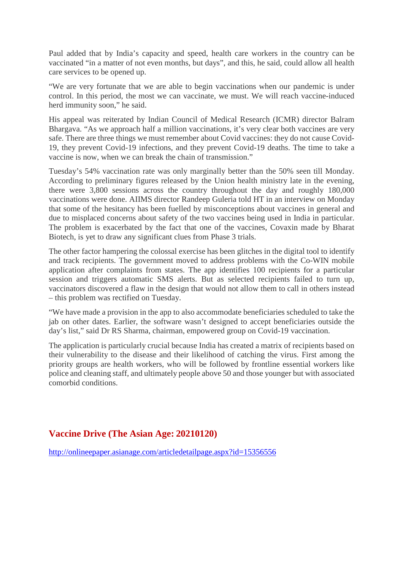Paul added that by India's capacity and speed, health care workers in the country can be vaccinated "in a matter of not even months, but days", and this, he said, could allow all health care services to be opened up.

"We are very fortunate that we are able to begin vaccinations when our pandemic is under control. In this period, the most we can vaccinate, we must. We will reach vaccine-induced herd immunity soon," he said.

His appeal was reiterated by Indian Council of Medical Research (ICMR) director Balram Bhargava. "As we approach half a million vaccinations, it's very clear both vaccines are very safe. There are three things we must remember about Covid vaccines: they do not cause Covid-19, they prevent Covid-19 infections, and they prevent Covid-19 deaths. The time to take a vaccine is now, when we can break the chain of transmission."

Tuesday's 54% vaccination rate was only marginally better than the 50% seen till Monday. According to preliminary figures released by the Union health ministry late in the evening, there were 3,800 sessions across the country throughout the day and roughly 180,000 vaccinations were done. AIIMS director Randeep Guleria told HT in an interview on Monday that some of the hesitancy has been fuelled by misconceptions about vaccines in general and due to misplaced concerns about safety of the two vaccines being used in India in particular. The problem is exacerbated by the fact that one of the vaccines, Covaxin made by Bharat Biotech, is yet to draw any significant clues from Phase 3 trials.

The other factor hampering the colossal exercise has been glitches in the digital tool to identify and track recipients. The government moved to address problems with the Co-WIN mobile application after complaints from states. The app identifies 100 recipients for a particular session and triggers automatic SMS alerts. But as selected recipients failed to turn up, vaccinators discovered a flaw in the design that would not allow them to call in others instead – this problem was rectified on Tuesday.

"We have made a provision in the app to also accommodate beneficiaries scheduled to take the jab on other dates. Earlier, the software wasn't designed to accept beneficiaries outside the day's list," said Dr RS Sharma, chairman, empowered group on Covid-19 vaccination.

The application is particularly crucial because India has created a matrix of recipients based on their vulnerability to the disease and their likelihood of catching the virus. First among the priority groups are health workers, who will be followed by frontline essential workers like police and cleaning staff, and ultimately people above 50 and those younger but with associated comorbid conditions.

#### **Vaccine Drive (The Asian Age: 20210120)**

http://onlineepaper.asianage.com/articledetailpage.aspx?id=15356556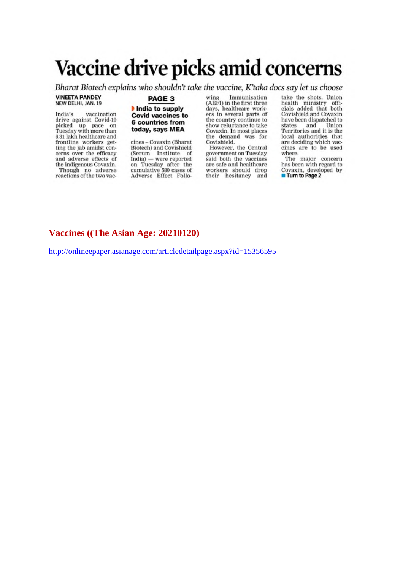## Vaccine drive picks amid concerns

Bharat Biotech explains who shouldn't take the vaccine, K'taka docs say let us choose

#### **VINEETA PANDEY** NEW DELHI, JAN. 19

India's vaccination drive against Covid-19<br>picked up pace on<br>Tuesday with more than 6.31 lakh healthcare and frontline workers getting the jab amidst concerns over the efficacy and adverse effects of the indigenous Covaxin. Though no adverse<br>reactions of the two vac-

#### PAGE<sub>3</sub> India to supply **Covid vaccines to**

6 countries from today, says MEA

cines - Covaxin (Bharat Biotech) and Covishield  $(Serum Institute of  
India) — were reported$ on Tuesday after the<br>cumulative 580 cases of Adverse Effect Following Immunisation<br>(AEFI) in the first three Immunisation days, healthcare workers in several parts of the country continue to show reluctance to take Covaxin. In most places the demand was for Covishield.

However, the Central government on Tuesday said both the vaccines are safe and healthcare workers should drop their hesitancy and

take the shots. Union health ministry offi-<br>cials added that both Covishield and Covaxin have been dispatched to states and Union<br>Territories and it is the local authorities that are deciding which vaccines are to be used where.

The major concern has been with regard to<br>Covaxin, developed by<br> $\blacksquare$  Turn to Page 2

#### Vaccines ((The Asian Age: 20210120)

http://onlineepaper.asianage.com/articledetailpage.aspx?id=15356595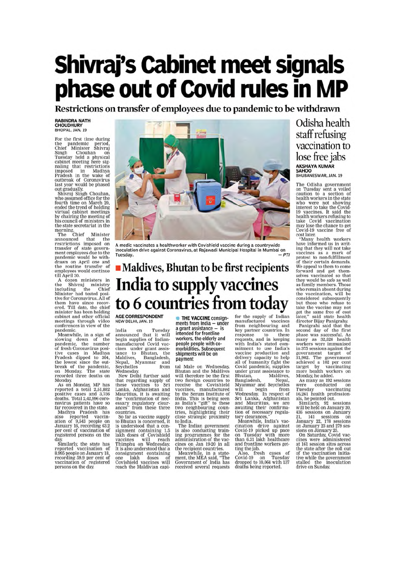# Shivraj's Cabinet meet signals phase out of Covid rules in MP

Restrictions on transfer of employees due to pandemic to be withdrawn

#### **RABINDRA NATH** CHOUDHURY<br>BHOPAL, JAN. 19

For the first time during For the first time during<br>the pandemic period.<br>Chief Minister Shivraj<br>Singh Chouhan on<br>Tuesday held a physical<br>cabinet meeting here signaling that restrictions<br>imposed in Madhya<br>Pradesh in the wake of<br>outbreak of Coronavir

out gradually.<br>Shivraj Singh Chouhan,<br>who assumed office for the fourth time on March 20,<br>ended the trend of holding virtual cabinet meetings by chairing the meeting of<br>his council of ministers in the state secretariat in the<br>morning.<br>The Chief Minister

The Chief Minister<br>announced that the<br>restrictions imposed on<br>transfer of state govern-<br>ment employees due to the<br>pandemic would be with-<br>the routine transfer of<br>employees would continue<br>till April 30.<br>A dozen ministers h

A dozen ministers in A word minister<br>including the Chief<br>Minister had tested posi-<br>tive for Coronavirus. All of them have since recovery used them have since recovered. Till date, the chief minister has been holding cabinet and other official meetings through video conferences in view of the pandemic.<br>Meanwhile, in a sign of

Meanwhile, in a sign of<br>slowing down of the<br>pandemic, the number<br>of fresh Coronavirus posi-<br>tive cases in Madhya<br>Pradesh dipped to 304,<br>the lowest since the out-<br>break of the pandemic,<br>on Monday. The state

on Monday. The state<br>recorded three deaths on<br>Monday. As on Monday. MP has<br>reported a total 2,51,882<br>positive cases and 3,756<br>deaths. Total 2,42,996 coro-<br>navirus patients have so<br>far recovered in the state.<br>Madhya Pradach rar recovered in the state.<br>Madhya Pradesh has<br>also reported vaccination of 9,543 people on<br>January 16, recording 63.2<br>per cent of vaccination of

registered persons on the<br>day.

Similarly, the state has<br>reported vaccination of<br>8,995 people on January 18, recording 59.9 per cent of<br>vaccination of registered persons on the day.



A medic vaccinates a healthworker with Covishield vaccine during a countrywide inoculation drive against Coronavirus, at Raiawadi Municipal Hospital in Mumbai on

## **Maldives, Bhutan to be first recipients** India to supply vaccines to 6 countries from today

#### AGE CORRESPONDENT NEW DELHI, JAN. 19

India on Tuesday<br>announced that it will<br>begin supplies of Indian-<br>manufactured Covid vaccines under grant assistimes under gram assistance to Bhutan, the<br>Maldives, Bangladesh,<br>Nepal, Myanmar and Nepal, M<br>Seychelles<br>Wednesday. from

New Delhi further said<br>that regarding supply of<br>these vaccines to Sri<br>Lanka, Afghanistan and Mauritius, it is awaiting the "confirmation of necessary regulatory clear-<br>ances" from these three countries.<br>So far as vaccine supply

to Bhutan is concerned, it<br>is understood that a consignment containing 1.5 signment containing t.3<br>lakh doses of Covishield<br>vaccines will reach<br>Thimphu on Wednesday.<br>It is also understood that a consignment containing<br>one lakh doses of<br>Covishield vaccines will reach the Maldivian capi-

THE VACCINE consignments from India - under  $a$  grant assistance  $-$  is intended for frontline workers, the elderly and people people with co-<br>morbidities. Subsequent shipments will be on payment

tal Male on Wednesday.<br>Bhutan and the Maldives will therefore be the first<br>two foreign countries to two toreign countries to<br>receive the Covishield<br>vaccines, manufactured by the Serum Institute of<br>India. This is being seen<br>as India's "gift" to these<br>two neighbouring coun-<br>tries, highlighting their<br>close strategic proximi

to India.<br>The Indian government is also conducting train-<br>ing programmes for the<br>administration of the vaccines on Jan 19-20 in all<br>the recipient countries.

Meanwhile, in a state-<br>ment, the MEA said, "The<br>Government of India has received several requests

for the supply of Indian manufactured vaccines<br>from neighbouring and from neignbouring and<br>hey partner countries. In<br>response to these<br>requests, and in keeping<br>with India's stated com-<br>mitment to use India's mitment to use mails vaccine production and<br>delivery capacity to help<br>all of humanity fight the<br>Covid pandemic, supplies<br>under grant assistance to Bhutan,<br>Bangladesh, Maldives. Boutan, Madress, Magneton, Magneton, Magneton, Magneton, Magneton, Magneton, Magneton, Magneton, Magneton, Magneton, Magneton, Magneton, Magneton, Magneton, Magneton, Magneton, Magneton, Magneton, Magneton, Magneton, Magne Nepal,

than 6.31 lakel meaningated<br>and frontline workers get-<br>hlso, fresh cases of<br>covid-19 on Tuesday<br>dropped to 10,064 with 137<br>deaths being reported.

Odisha health staff refusing vaccination to lose free jabs **AKSHAYA KUMAR<br>SAHOO<br>BHUBANESWAR, JAN. 19** 

The Odisha government on Tuesday sent a veiled<br>caution to a section of<br>health workers in the state who were not showing<br>interest to take the Covid-<br>19 vaccines. It said the For vaccines. It said the health workers refusing to<br>take Covid vaccination<br>may lose the chance to get<br>Covid-19 vaccine free of

cost later.<br>
"Many health workers<br>
have informed us in writing that they will not take<br>vaccines as a mark of<br>protest to non-fulfillment of their certain demands.<br>We appeal to them to come we appear to them<br>forward and get them-<br>selves vaccinated so that<br>they would be safe as well<br>as family members. Those<br>who remain absent during who remain absent during<br>the vaccination, will be<br>considered subsequently<br>but those who refuse to<br>take the vaccine may not<br>get the same free of cost<br>later," said state health<br>director Bijay Panigrahy,<br>Panigrahi said that t

many as 32,329 upan<br>workers were immunised<br>in 375 sessions against the in 375 sessions against the<br>government target of<br>31,902. The government<br>achieved a 102 per cent<br>target by vaccinating<br>more health workers on Monday, he added.<br>As many as 192 sessions

As many as 192 sessions<br>were conducted on<br>Tuesday vaccinating<br>16,261 health professionals, he pointed out.<br>als, he pointed out.<br>Similarly, 92 sessions<br>will be held on January 20,

will be held on January 20,<br>436 sessions on January 20,<br>21, 141 sessions on<br>January 22, 178 sessions<br>on January 23 and 279 ses-<br>500 solons on January 23.<br>On Saturday, Covid vac-<br>cines were administered<br>at 161 session sties

of the vaccination initiaof the vaccination<br>tive while the government<br>stalled the inoculation<br>drive on Sunday.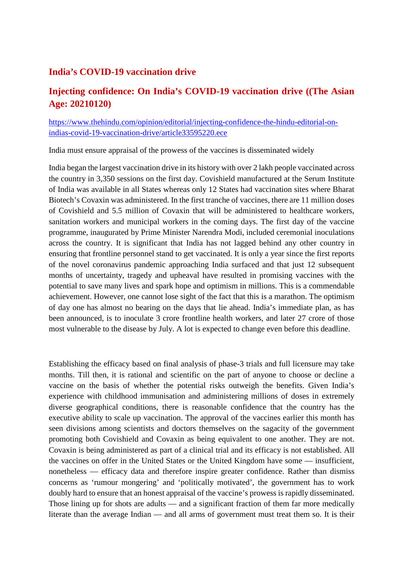#### **India's COVID-19 vaccination drive**

#### **Injecting confidence: On India's COVID-19 vaccination drive ((The Asian Age: 20210120)**

#### https://www.thehindu.com/opinion/editorial/injecting-confidence-the-hindu-editorial-onindias-covid-19-vaccination-drive/article33595220.ece

India must ensure appraisal of the prowess of the vaccines is disseminated widely

India began the largest vaccination drive in its history with over 2 lakh people vaccinated across the country in 3,350 sessions on the first day. Covishield manufactured at the Serum Institute of India was available in all States whereas only 12 States had vaccination sites where Bharat Biotech's Covaxin was administered. In the first tranche of vaccines, there are 11 million doses of Covishield and 5.5 million of Covaxin that will be administered to healthcare workers, sanitation workers and municipal workers in the coming days. The first day of the vaccine programme, inaugurated by Prime Minister Narendra Modi, included ceremonial inoculations across the country. It is significant that India has not lagged behind any other country in ensuring that frontline personnel stand to get vaccinated. It is only a year since the first reports of the novel coronavirus pandemic approaching India surfaced and that just 12 subsequent months of uncertainty, tragedy and upheaval have resulted in promising vaccines with the potential to save many lives and spark hope and optimism in millions. This is a commendable achievement. However, one cannot lose sight of the fact that this is a marathon. The optimism of day one has almost no bearing on the days that lie ahead. India's immediate plan, as has been announced, is to inoculate 3 crore frontline health workers, and later 27 crore of those most vulnerable to the disease by July. A lot is expected to change even before this deadline.

Establishing the efficacy based on final analysis of phase-3 trials and full licensure may take months. Till then, it is rational and scientific on the part of anyone to choose or decline a vaccine on the basis of whether the potential risks outweigh the benefits. Given India's experience with childhood immunisation and administering millions of doses in extremely diverse geographical conditions, there is reasonable confidence that the country has the executive ability to scale up vaccination. The approval of the vaccines earlier this month has seen divisions among scientists and doctors themselves on the sagacity of the government promoting both Covishield and Covaxin as being equivalent to one another. They are not. Covaxin is being administered as part of a clinical trial and its efficacy is not established. All the vaccines on offer in the United States or the United Kingdom have some — insufficient, nonetheless — efficacy data and therefore inspire greater confidence. Rather than dismiss concerns as 'rumour mongering' and 'politically motivated', the government has to work doubly hard to ensure that an honest appraisal of the vaccine's prowess is rapidly disseminated. Those lining up for shots are adults — and a significant fraction of them far more medically literate than the average Indian — and all arms of government must treat them so. It is their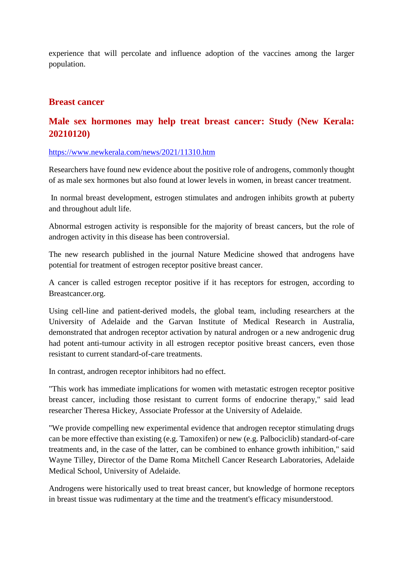experience that will percolate and influence adoption of the vaccines among the larger population.

#### **Breast cancer**

#### **Male sex hormones may help treat breast cancer: Study (New Kerala: 20210120)**

#### https://www.newkerala.com/news/2021/11310.htm

Researchers have found new evidence about the positive role of androgens, commonly thought of as male sex hormones but also found at lower levels in women, in breast cancer treatment.

In normal breast development, estrogen stimulates and androgen inhibits growth at puberty and throughout adult life.

Abnormal estrogen activity is responsible for the majority of breast cancers, but the role of androgen activity in this disease has been controversial.

The new research published in the journal Nature Medicine showed that androgens have potential for treatment of estrogen receptor positive breast cancer.

A cancer is called estrogen receptor positive if it has receptors for estrogen, according to Breastcancer.org.

Using cell-line and patient-derived models, the global team, including researchers at the University of Adelaide and the Garvan Institute of Medical Research in Australia, demonstrated that androgen receptor activation by natural androgen or a new androgenic drug had potent anti-tumour activity in all estrogen receptor positive breast cancers, even those resistant to current standard-of-care treatments.

In contrast, androgen receptor inhibitors had no effect.

"This work has immediate implications for women with metastatic estrogen receptor positive breast cancer, including those resistant to current forms of endocrine therapy," said lead researcher Theresa Hickey, Associate Professor at the University of Adelaide.

"We provide compelling new experimental evidence that androgen receptor stimulating drugs can be more effective than existing (e.g. Tamoxifen) or new (e.g. Palbociclib) standard-of-care treatments and, in the case of the latter, can be combined to enhance growth inhibition," said Wayne Tilley, Director of the Dame Roma Mitchell Cancer Research Laboratories, Adelaide Medical School, University of Adelaide.

Androgens were historically used to treat breast cancer, but knowledge of hormone receptors in breast tissue was rudimentary at the time and the treatment's efficacy misunderstood.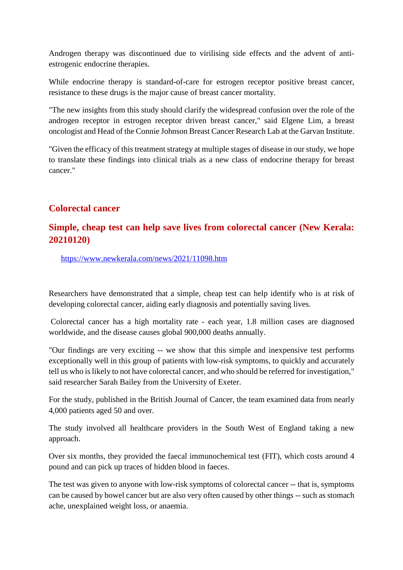Androgen therapy was discontinued due to virilising side effects and the advent of antiestrogenic endocrine therapies.

While endocrine therapy is standard-of-care for estrogen receptor positive breast cancer, resistance to these drugs is the major cause of breast cancer mortality.

"The new insights from this study should clarify the widespread confusion over the role of the androgen receptor in estrogen receptor driven breast cancer," said Elgene Lim, a breast oncologist and Head of the Connie Johnson Breast Cancer Research Lab at the Garvan Institute.

"Given the efficacy of this treatment strategy at multiple stages of disease in our study, we hope to translate these findings into clinical trials as a new class of endocrine therapy for breast cancer."

#### **Colorectal cancer**

#### **Simple, cheap test can help save lives from colorectal cancer (New Kerala: 20210120)**

https://www.newkerala.com/news/2021/11098.htm

Researchers have demonstrated that a simple, cheap test can help identify who is at risk of developing colorectal cancer, aiding early diagnosis and potentially saving lives.

Colorectal cancer has a high mortality rate - each year, 1.8 million cases are diagnosed worldwide, and the disease causes global 900,000 deaths annually.

"Our findings are very exciting -- we show that this simple and inexpensive test performs exceptionally well in this group of patients with low-risk symptoms, to quickly and accurately tell us who is likely to not have colorectal cancer, and who should be referred for investigation," said researcher Sarah Bailey from the University of Exeter.

For the study, published in the British Journal of Cancer, the team examined data from nearly 4,000 patients aged 50 and over.

The study involved all healthcare providers in the South West of England taking a new approach.

Over six months, they provided the faecal immunochemical test (FIT), which costs around 4 pound and can pick up traces of hidden blood in faeces.

The test was given to anyone with low-risk symptoms of colorectal cancer -- that is, symptoms can be caused by bowel cancer but are also very often caused by other things -- such as stomach ache, unexplained weight loss, or anaemia.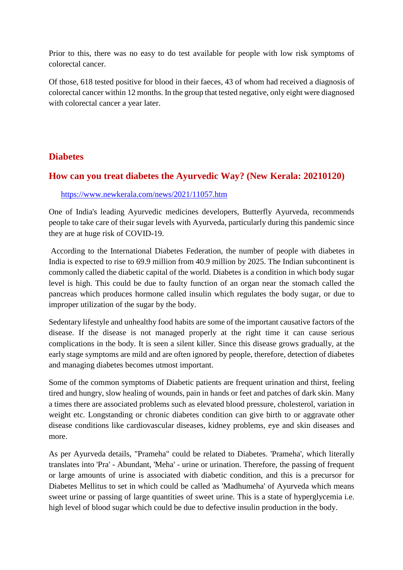Prior to this, there was no easy to do test available for people with low risk symptoms of colorectal cancer.

Of those, 618 tested positive for blood in their faeces, 43 of whom had received a diagnosis of colorectal cancer within 12 months. In the group that tested negative, only eight were diagnosed with colorectal cancer a year later.

#### **Diabetes**

#### **How can you treat diabetes the Ayurvedic Way? (New Kerala: 20210120)**

#### https://www.newkerala.com/news/2021/11057.htm

One of India's leading Ayurvedic medicines developers, Butterfly Ayurveda, recommends people to take care of their sugar levels with Ayurveda, particularly during this pandemic since they are at huge risk of COVID-19.

According to the International Diabetes Federation, the number of people with diabetes in India is expected to rise to 69.9 million from 40.9 million by 2025. The Indian subcontinent is commonly called the diabetic capital of the world. Diabetes is a condition in which body sugar level is high. This could be due to faulty function of an organ near the stomach called the pancreas which produces hormone called insulin which regulates the body sugar, or due to improper utilization of the sugar by the body.

Sedentary lifestyle and unhealthy food habits are some of the important causative factors of the disease. If the disease is not managed properly at the right time it can cause serious complications in the body. It is seen a silent killer. Since this disease grows gradually, at the early stage symptoms are mild and are often ignored by people, therefore, detection of diabetes and managing diabetes becomes utmost important.

Some of the common symptoms of Diabetic patients are frequent urination and thirst, feeling tired and hungry, slow healing of wounds, pain in hands or feet and patches of dark skin. Many a times there are associated problems such as elevated blood pressure, cholesterol, variation in weight etc. Longstanding or chronic diabetes condition can give birth to or aggravate other disease conditions like cardiovascular diseases, kidney problems, eye and skin diseases and more.

As per Ayurveda details, "Prameha" could be related to Diabetes. 'Prameha', which literally translates into 'Pra' - Abundant, 'Meha' - urine or urination. Therefore, the passing of frequent or large amounts of urine is associated with diabetic condition, and this is a precursor for Diabetes Mellitus to set in which could be called as 'Madhumeha' of Ayurveda which means sweet urine or passing of large quantities of sweet urine. This is a state of hyperglycemia i.e. high level of blood sugar which could be due to defective insulin production in the body.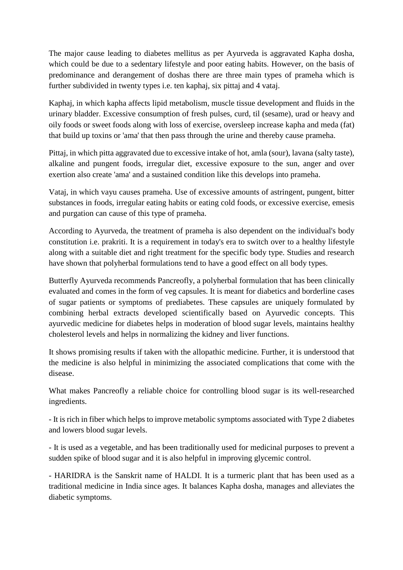The major cause leading to diabetes mellitus as per Ayurveda is aggravated Kapha dosha, which could be due to a sedentary lifestyle and poor eating habits. However, on the basis of predominance and derangement of doshas there are three main types of prameha which is further subdivided in twenty types i.e. ten kaphaj, six pittaj and 4 vataj.

Kaphaj, in which kapha affects lipid metabolism, muscle tissue development and fluids in the urinary bladder. Excessive consumption of fresh pulses, curd, til (sesame), urad or heavy and oily foods or sweet foods along with loss of exercise, oversleep increase kapha and meda (fat) that build up toxins or 'ama' that then pass through the urine and thereby cause prameha.

Pittaj, in which pitta aggravated due to excessive intake of hot, amla (sour), lavana (salty taste), alkaline and pungent foods, irregular diet, excessive exposure to the sun, anger and over exertion also create 'ama' and a sustained condition like this develops into prameha.

Vataj, in which vayu causes prameha. Use of excessive amounts of astringent, pungent, bitter substances in foods, irregular eating habits or eating cold foods, or excessive exercise, emesis and purgation can cause of this type of prameha.

According to Ayurveda, the treatment of prameha is also dependent on the individual's body constitution i.e. prakriti. It is a requirement in today's era to switch over to a healthy lifestyle along with a suitable diet and right treatment for the specific body type. Studies and research have shown that polyherbal formulations tend to have a good effect on all body types.

Butterfly Ayurveda recommends Pancreofly, a polyherbal formulation that has been clinically evaluated and comes in the form of veg capsules. It is meant for diabetics and borderline cases of sugar patients or symptoms of prediabetes. These capsules are uniquely formulated by combining herbal extracts developed scientifically based on Ayurvedic concepts. This ayurvedic medicine for diabetes helps in moderation of blood sugar levels, maintains healthy cholesterol levels and helps in normalizing the kidney and liver functions.

It shows promising results if taken with the allopathic medicine. Further, it is understood that the medicine is also helpful in minimizing the associated complications that come with the disease.

What makes Pancreofly a reliable choice for controlling blood sugar is its well-researched ingredients.

- It is rich in fiber which helps to improve metabolic symptoms associated with Type 2 diabetes and lowers blood sugar levels.

- It is used as a vegetable, and has been traditionally used for medicinal purposes to prevent a sudden spike of blood sugar and it is also helpful in improving glycemic control.

- HARIDRA is the Sanskrit name of HALDI. It is a turmeric plant that has been used as a traditional medicine in India since ages. It balances Kapha dosha, manages and alleviates the diabetic symptoms.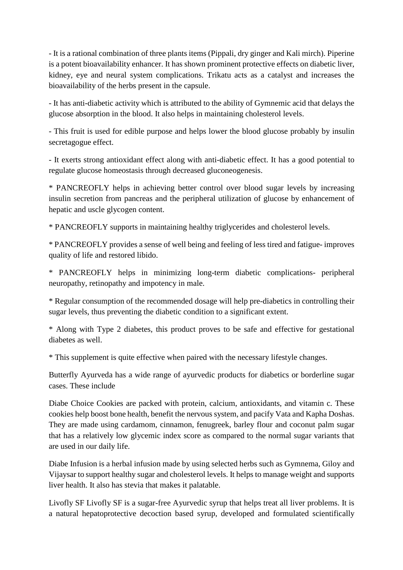- It is a rational combination of three plants items (Pippali, dry ginger and Kali mirch). Piperine is a potent bioavailability enhancer. It has shown prominent protective effects on diabetic liver, kidney, eye and neural system complications. Trikatu acts as a catalyst and increases the bioavailability of the herbs present in the capsule.

- It has anti-diabetic activity which is attributed to the ability of Gymnemic acid that delays the glucose absorption in the blood. It also helps in maintaining cholesterol levels.

- This fruit is used for edible purpose and helps lower the blood glucose probably by insulin secretagogue effect.

- It exerts strong antioxidant effect along with anti-diabetic effect. It has a good potential to regulate glucose homeostasis through decreased gluconeogenesis.

\* PANCREOFLY helps in achieving better control over blood sugar levels by increasing insulin secretion from pancreas and the peripheral utilization of glucose by enhancement of hepatic and uscle glycogen content.

\* PANCREOFLY supports in maintaining healthy triglycerides and cholesterol levels.

\* PANCREOFLY provides a sense of well being and feeling of less tired and fatigue- improves quality of life and restored libido.

\* PANCREOFLY helps in minimizing long-term diabetic complications- peripheral neuropathy, retinopathy and impotency in male.

\* Regular consumption of the recommended dosage will help pre-diabetics in controlling their sugar levels, thus preventing the diabetic condition to a significant extent.

\* Along with Type 2 diabetes, this product proves to be safe and effective for gestational diabetes as well.

\* This supplement is quite effective when paired with the necessary lifestyle changes.

Butterfly Ayurveda has a wide range of ayurvedic products for diabetics or borderline sugar cases. These include

Diabe Choice Cookies are packed with protein, calcium, antioxidants, and vitamin c. These cookies help boost bone health, benefit the nervous system, and pacify Vata and Kapha Doshas. They are made using cardamom, cinnamon, fenugreek, barley flour and coconut palm sugar that has a relatively low glycemic index score as compared to the normal sugar variants that are used in our daily life.

Diabe Infusion is a herbal infusion made by using selected herbs such as Gymnema, Giloy and Vijaysar to support healthy sugar and cholesterol levels. It helps to manage weight and supports liver health. It also has stevia that makes it palatable.

Livofly SF Livofly SF is a sugar-free Ayurvedic syrup that helps treat all liver problems. It is a natural hepatoprotective decoction based syrup, developed and formulated scientifically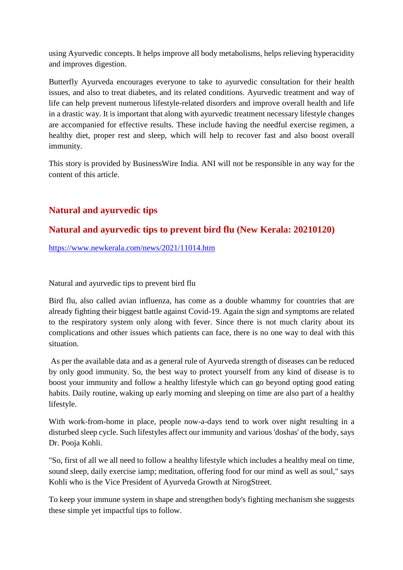using Ayurvedic concepts. It helps improve all body metabolisms, helps relieving hyperacidity and improves digestion.

Butterfly Ayurveda encourages everyone to take to ayurvedic consultation for their health issues, and also to treat diabetes, and its related conditions. Ayurvedic treatment and way of life can help prevent numerous lifestyle-related disorders and improve overall health and life in a drastic way. It is important that along with ayurvedic treatment necessary lifestyle changes are accompanied for effective results. These include having the needful exercise regimen, a healthy diet, proper rest and sleep, which will help to recover fast and also boost overall immunity.

This story is provided by BusinessWire India. ANI will not be responsible in any way for the content of this article.

#### **Natural and ayurvedic tips**

#### **Natural and ayurvedic tips to prevent bird flu (New Kerala: 20210120)**

https://www.newkerala.com/news/2021/11014.htm

Natural and ayurvedic tips to prevent bird flu

Bird flu, also called avian influenza, has come as a double whammy for countries that are already fighting their biggest battle against Covid-19. Again the sign and symptoms are related to the respiratory system only along with fever. Since there is not much clarity about its complications and other issues which patients can face, there is no one way to deal with this situation.

As per the available data and as a general rule of Ayurveda strength of diseases can be reduced by only good immunity. So, the best way to protect yourself from any kind of disease is to boost your immunity and follow a healthy lifestyle which can go beyond opting good eating habits. Daily routine, waking up early morning and sleeping on time are also part of a healthy lifestyle.

With work-from-home in place, people now-a-days tend to work over night resulting in a disturbed sleep cycle. Such lifestyles affect our immunity and various 'doshas' of the body, says Dr. Pooja Kohli.

"So, first of all we all need to follow a healthy lifestyle which includes a healthy meal on time, sound sleep, daily exercise iamp; meditation, offering food for our mind as well as soul," says Kohli who is the Vice President of Ayurveda Growth at NirogStreet.

To keep your immune system in shape and strengthen body's fighting mechanism she suggests these simple yet impactful tips to follow.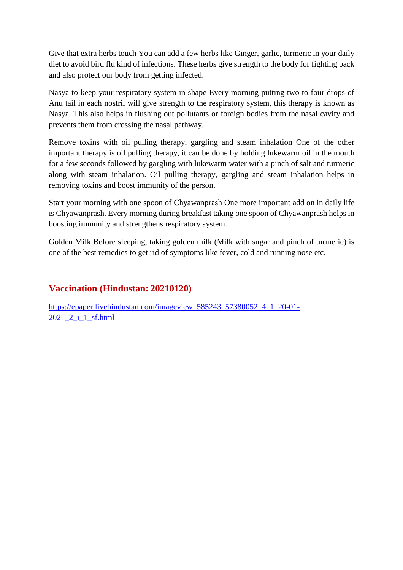Give that extra herbs touch You can add a few herbs like Ginger, garlic, turmeric in your daily diet to avoid bird flu kind of infections. These herbs give strength to the body for fighting back and also protect our body from getting infected.

Nasya to keep your respiratory system in shape Every morning putting two to four drops of Anu tail in each nostril will give strength to the respiratory system, this therapy is known as Nasya. This also helps in flushing out pollutants or foreign bodies from the nasal cavity and prevents them from crossing the nasal pathway.

Remove toxins with oil pulling therapy, gargling and steam inhalation One of the other important therapy is oil pulling therapy, it can be done by holding lukewarm oil in the mouth for a few seconds followed by gargling with lukewarm water with a pinch of salt and turmeric along with steam inhalation. Oil pulling therapy, gargling and steam inhalation helps in removing toxins and boost immunity of the person.

Start your morning with one spoon of Chyawanprash One more important add on in daily life is Chyawanprash. Every morning during breakfast taking one spoon of Chyawanprash helps in boosting immunity and strengthens respiratory system.

Golden Milk Before sleeping, taking golden milk (Milk with sugar and pinch of turmeric) is one of the best remedies to get rid of symptoms like fever, cold and running nose etc.

#### **Vaccination (Hindustan: 20210120)**

https://epaper.livehindustan.com/imageview\_585243\_57380052\_4\_1\_20-01- 2021\_2\_i\_1\_sf.html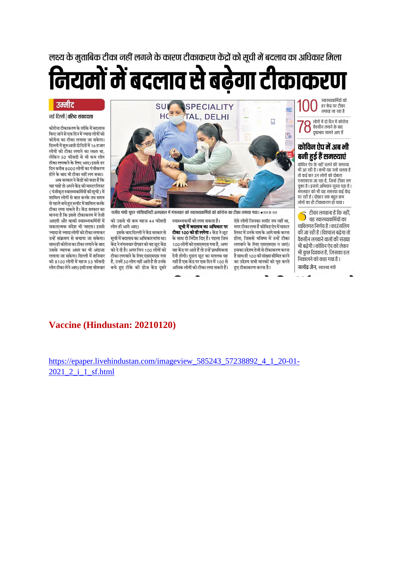लक्ष्य के मुताबिक टीका नहीं लगने के कारण टीकाकरण केंद्रों को सूची में बदलाव का अधिकार मिला

नियमों में बदलाव से बढ़ेगा टीकाकरण

| उम्मीद

नई दिल्ली | वरिष्ट संवाददाता

कोरोना टीकाकरण के तरीके में बदलाव किए जाने से एक दिन में ज्यादा लोगों को कोरोना का टीका लगाया जा सकेगा। दिल्ली में शुरुआती दो दिनों में 16 हजार लोगों को टीका लगाने का लक्ष्य था, लेकिन 50 फीसदी से भी कम लोग टीका लगवाने के लिए आए। इससे हर दिन करीब 8000 लोगों का पंजीकरण होने के बाद भी टीका नहीं लग सका। अब सरकार ने केंद्रों को कहा है कि

वह चाहे तो अपने केंद्र की मास्टरलिस्ट (पंजीकृत स्वास्थ्यकर्मियों की सूची) में .<br>शामिल लोगों से बात करके तय समय से पहले बचे हुए स्लॉट में शामिल करके टीका लगा सकते है। केंद्र सरकार का मानना है कि इससे टीकाकरण में तेजी आएगी और बाकी स्वास्थ्यकर्मियों में सकारात्मक संदेश भी जाएगा। इससे ज्यादा से ज्यादा लोगों को टीका लगाकर उन्हें संक्रमण से बचाया जा सकेगा। साथ ही कोरोना का टीका लगाने के बाद उसके व्यापक असर का भी अंदाजा लगावा जा सकेगा। दिल्ली में शनिवार को 8100 लोगों में महज 53 फीसदी लोग टीका लेने आए। इसी तरह सोमवार



राजीव गांघी सुपर स्पेशियलिटी अस्पताल में मंगलवार को स्वास्थ्यकर्मियों को कोरोना का टीका लगाया गया। • राज के राज

को उससे भी कम महज 44 फीसदी लोग ही आगे आए।

इसके बाद दिल्ली ने केंद्र सरकार से सची में बदलाव का अधिकारमांगा था। केंद्र ने मंगलवार टोपहर को यह छट केंद्र को दे दी है। अगर जिन 100 लोगों को टीका लगवाने के लिए एसएमएस गया है, उनमें 30 लोग नहीं आते है तो उनके बचे हुए टीके की डोज केंद्र दूसरे स्वास्थ्यकर्मी को लगा सकता है। सूची में बदलाव का अधिकार पर टीका 100 को ही लगेगा: केंद्र ने छट के साथ दो निर्देश दिए है। पहला जिन 100 लोगों को प्रसामापस गया है. अगर वह केंद्र पर आते हैं तो उन्हें प्राथमिकता देनी होगी। दूसरा छूट का मतलब यह नहीं है एक केंद्र पर एक दिन में 100 से अधिक लोगों को टीका लगा सकते हैं। ऐसे लोगों जिनका स्लॉट तय नहीं था. .<br>मगर टीका लगा है कोविड ऐप में मास्टर लिस्ट में उनके नाम के आगे मार्क करना होगा, जिससे भविष्य में उन्हें टीका लगवाने के लिए एसएसएस न जाएं। डसका उद्देश्य तेजी से टीकाकरण करना है साथ ही 100 की संख्या सीमित करने का उद्देश्य सभी मानकों को पुरा करते हए टीकाकरण करना है।

स्वास्थ्यकर्मियों को हर केंद्र पर टीका लगाया जा रहा है

लोगों में दो दिन में कोरोना वैक्सीन लगाने के बाद O दुष्प्रभाव सामने आए हैं

#### कोविन ऐप में अब भी बनी हुई हैं समस्याएं

.<br>कोविन ऐप के नहीं चलने की समस्या कादन एवं के नहीं बरान का समस्या<br>भी आ रही है। कभी यह स्लो चलता है तो कई बार उन लोगों को दोबारा एसएमएस जा रहा है, जिन्हें टीका लग चुका है। इससे अभियान सुस्त पड़ा है। मॅगलवार को भी यह समस्या कई केंद्र पर रही है। दोपहर तक बहुत कम लोगों का ही टीकाकरण हो पाया |

टीका लगवाना है कि नहीं. ) यह स्वास्थ्यकर्मियों का व्यक्तिगत निर्णय है।काउंसलिंग की जा रही है ।विश्वास बढेगा तो वैक्सीन लगवाने वालों की संख्या भी बढेगी। कोविन ऐप को लेकर भी कुछ दिक्कत है, जिसका हल निकालने को कहा गया है। सत्येंद्र जैन, स्वास्थ्य मंत्री

#### Vaccine (Hindustan: 20210120)

https://epaper.livehindustan.com/imageview 585243 57238892 4 1 20-01-2021 2 i 1 sf.html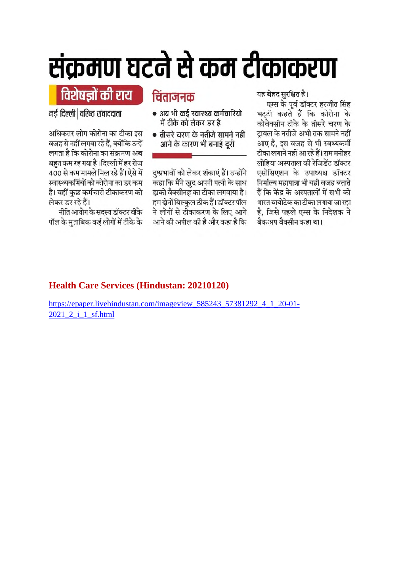# संक्रमण घटने से कम टीकाकरण

## विशेषज्ञों की राय

नई दिल्ली | वरिष्ठ संवाददाता

अधिकतर लोग कोरोना का टीका इस वजह से नहीं लगवा रहे हैं. क्योंकि उन्हें लगता है कि कोरोना का संक्रमण अब बहत कम रह गया है। दिल्ली में हर रोज 400 से कम मामले मिल रहे हैं। ऐसे में स्वास्थ्यकर्मियों को कोरोना का डर कम है। वहीं कुछ कर्मचारी टीकाकरण को लेकर डर रहे हैं।

नीति आयोग के सदस्य डॉक्टर वीके पॉल के मताबिक कई लोगों में टीके के

### चिंताजनक

- अब भी कई स्वास्थ्य कर्मचारियों में टीके को लेकर डर है
- तीसरे चरण के नतीजे सामने नहीं आने के कारण भी बनाई दुरी

दुष्प्रभावों को लेकर शंकाएं हैं। उन्होंने कहा कि मैंने खद अपनी पत्नी के साथ ह्यको वैक्सीनह्न का टीका लगवाया है। हम दोनों बिल्कुल ठीक हैं। डॉक्टर पॉल ने लोगों से टीकाकरण के लिए आगे आने की अपील की है और कहा है कि

यह बेहद सुरक्षित है।

एम्स के पर्व डॉक्टर हरजीत सिंह भट्टी कहते हैं कि कोरोना के कोवेक्सीन टीके के तीसरे चरण के टायल के नतीजे अभी तक सामने नहीं आए हैं, इस वजह से भी स्वथ्यकर्मी टीका लगाने नहीं आ रहे हैं। राम मनोहर लोहिया अस्पताल की रेजिडेंट डॉक्टर एसोसिएशन के उपाध्यक्ष डॉक्टर निर्माल्य महापात्रा भी यही वजह बताते हैं कि केंद्र के अस्पतालों में सभी को भारत बायोटेक का टीका लगाया जा रहा है. जिसे पहले एम्स के निदेशक ने बैकअप वैक्सीन कहा था।

#### **Health Care Services (Hindustan: 20210120)**

https://epaper.livehindustan.com/imageview 585243 57381292 4 1 20-01-2021 2 i 1 sf.html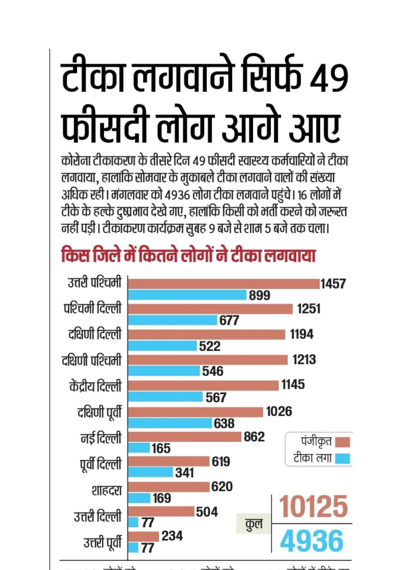# टीका लगवाने सिर्फ ४९ फीसदी लोग आगे आए

कोरोना टीकाकरण के तीसरे दिन ४९ फीसदी स्वास्थ्य कर्मचारियों ने टीका लगवाया, हालांकि सोमवार के मुकाबले टीका लगवाने वालों की संख्या अधिक रही। मंगलवार को ४९३६ लोग टीका लगवाने पहुंचे। १६ लोगों में टीके के हल्के दुष्प्रभाव देखे गए, हालांकि किसी को भर्ती करने को जरूरत नहीं पड़ी। टीकॉकरण कार्यक्रम सुबह 9 बजे से शाम 5 बजे तक चला।

# किस जिले में कितने लोगों ने टीका लगवाया

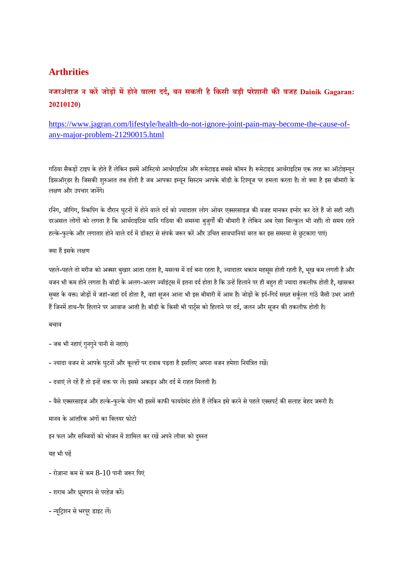#### **Arthrities**

#### **नजरअंदाज न करजोड़महोनेवाला दद, बन सकती हैिकसी बड़ी परेशानी कवजह Dainik Gagaran: 20210120)**

https://www.jagran.com/lifestyle/health-do-not-ignore-joint-pain-may-become-the-cause-ofany-major-problem-21290015.html

गठिया सैकड़ों टाइप के होते हैं लेकिन इसमें ऑस्टियो आर्थराइटिस और रूमेटाइड सबसे कॉमन है। रूमेटाइड आर्थराइटिस एक तरह का ऑटोइम्यन डिसऑर्डर है। जिसकी शुरुआत तब होती है जब आपका इम्यून सिस्टम आपके बॉडी के टिश्यूज पर हमला करता है। तो क्या है इस बीमारी के लक्षण और उपचार जानेंगे।

रनिंग, जॉगिंग, स्किपिंग के दौरान घुटनों में होने वाले दर्द को ज्यादातर लोग ओवर एक्सरसाइज़ की वजह मानकर इग्नोर कर देते हैं जो सही नहीं। दरअसल लोगों को लगता है कि आर्थराइटिस यानि गठिया की समस्या बुजुर्गों की बीमारी है लेकिन अब ऐसा बिल्कुल भी नहीं। तो समय रहते हल्के-फुल्के और लगातार होने वाले दर्द में डॉक्टर से संपर्क जरूर करें और उचित सावधानियां बरत कर इस समस्या से छुटकारा पाएं।

#### क्या हैं इसके लक्षण

पहले-पहले तो मरीज को अक्सर बुखार आता रहता है, मसल्स में दर्द बना रहता है, ज्यादातर थकान महसूस होती रहती है, भूख कम लगती है और वजन भी कम होने लगता है। बॉडी के अलग-अलग ज्वॉइंट्स में इतना दर्द होता है कि उन्हें हिलाने पर ही बहुत ही ज्यादा तकलीफ होती है, खासकर सबह के वक्ता जोड़ों में जहां-जहां दर्द होता है, वहां सजन आना भी इस बीमारी में आम है। जोड़ों के इर्द-गिर्द सख्त सर्कुलर गांठें जैसी उभर आती हैं जिनमें हाथ-पैर हिलाने पर आवाज आती है। बॉडी के किसी भी पार्ट्स को हिलाने पर दर्द, जलन और सूजन की तकलीफ होती है।

बचाव

- जब भी नहाएं गुनगुने पानी से नहाएं।

- ज्यादा वजन से आपके घुटनों और कूल्हों पर दवाब पड़ता है इसलिए अपना वजन हमेशा नियंत्रित रखें।
- दवाएं ले रहें हैं तो इन्हें वक्त पर लें। इससे अकड़न और दर्द में राहत मिलती है।

- वैसे एक्सरसाइज और हल्के-फुल्के योग भी इसमें काफी फायदेमंद होते हैं लेकिन इसे करने से पहले एक्सपर्ट की सलाह बेहद जरूरी है।

मानव के आंतरिक अंगों का क्लियर फोटो

इन फल और सब्जियों को भोजन में शामिल कर रखें अपने लीवर को दुरुस्त

यह भी पढ़

- रोज़ाना कम से कम  $8-10$  पानी जरूर पिएं
- शराब और मूपान सेपरहजे कर।
- न्यूट्रिशन से भरपूर डाइट लें।